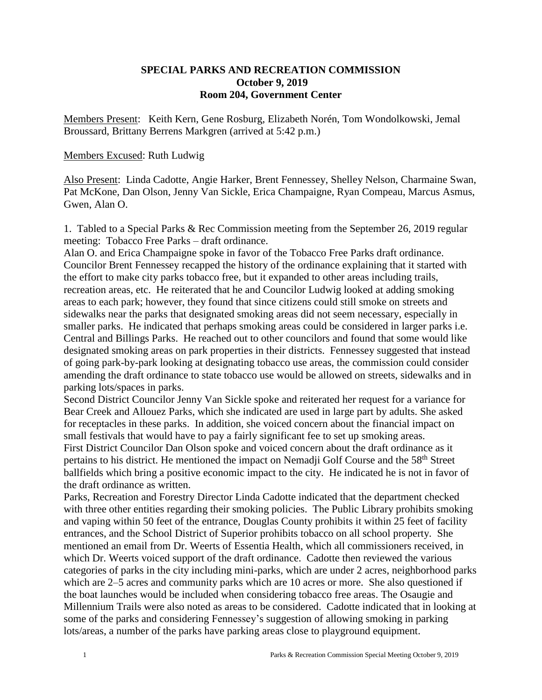## **SPECIAL PARKS AND RECREATION COMMISSION October 9, 2019 Room 204, Government Center**

Members Present: Keith Kern, Gene Rosburg, Elizabeth Norén, Tom Wondolkowski, Jemal Broussard, Brittany Berrens Markgren (arrived at 5:42 p.m.)

## Members Excused: Ruth Ludwig

Also Present: Linda Cadotte, Angie Harker, Brent Fennessey, Shelley Nelson, Charmaine Swan, Pat McKone, Dan Olson, Jenny Van Sickle, Erica Champaigne, Ryan Compeau, Marcus Asmus, Gwen, Alan O.

1. Tabled to a Special Parks & Rec Commission meeting from the September 26, 2019 regular meeting: Tobacco Free Parks – draft ordinance.

Alan O. and Erica Champaigne spoke in favor of the Tobacco Free Parks draft ordinance. Councilor Brent Fennessey recapped the history of the ordinance explaining that it started with the effort to make city parks tobacco free, but it expanded to other areas including trails, recreation areas, etc. He reiterated that he and Councilor Ludwig looked at adding smoking areas to each park; however, they found that since citizens could still smoke on streets and sidewalks near the parks that designated smoking areas did not seem necessary, especially in smaller parks. He indicated that perhaps smoking areas could be considered in larger parks i.e. Central and Billings Parks. He reached out to other councilors and found that some would like designated smoking areas on park properties in their districts. Fennessey suggested that instead of going park-by-park looking at designating tobacco use areas, the commission could consider amending the draft ordinance to state tobacco use would be allowed on streets, sidewalks and in parking lots/spaces in parks.

Second District Councilor Jenny Van Sickle spoke and reiterated her request for a variance for Bear Creek and Allouez Parks, which she indicated are used in large part by adults. She asked for receptacles in these parks. In addition, she voiced concern about the financial impact on small festivals that would have to pay a fairly significant fee to set up smoking areas. First District Councilor Dan Olson spoke and voiced concern about the draft ordinance as it pertains to his district. He mentioned the impact on Nemadii Golf Course and the 58<sup>th</sup> Street ballfields which bring a positive economic impact to the city. He indicated he is not in favor of

the draft ordinance as written.

Parks, Recreation and Forestry Director Linda Cadotte indicated that the department checked with three other entities regarding their smoking policies. The Public Library prohibits smoking and vaping within 50 feet of the entrance, Douglas County prohibits it within 25 feet of facility entrances, and the School District of Superior prohibits tobacco on all school property. She mentioned an email from Dr. Weerts of Essentia Health, which all commissioners received, in which Dr. Weerts voiced support of the draft ordinance. Cadotte then reviewed the various categories of parks in the city including mini-parks, which are under 2 acres, neighborhood parks which are 2–5 acres and community parks which are 10 acres or more. She also questioned if the boat launches would be included when considering tobacco free areas. The Osaugie and Millennium Trails were also noted as areas to be considered. Cadotte indicated that in looking at some of the parks and considering Fennessey's suggestion of allowing smoking in parking lots/areas, a number of the parks have parking areas close to playground equipment.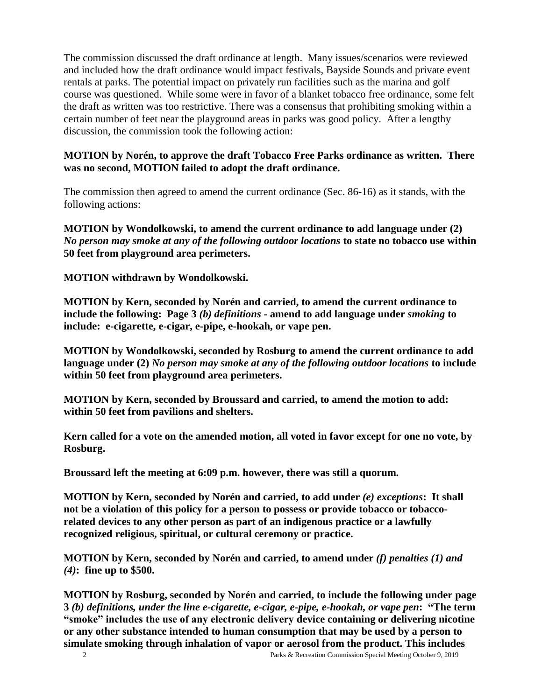The commission discussed the draft ordinance at length. Many issues/scenarios were reviewed and included how the draft ordinance would impact festivals, Bayside Sounds and private event rentals at parks. The potential impact on privately run facilities such as the marina and golf course was questioned. While some were in favor of a blanket tobacco free ordinance, some felt the draft as written was too restrictive. There was a consensus that prohibiting smoking within a certain number of feet near the playground areas in parks was good policy. After a lengthy discussion, the commission took the following action:

## **MOTION by Norén, to approve the draft Tobacco Free Parks ordinance as written. There was no second, MOTION failed to adopt the draft ordinance.**

The commission then agreed to amend the current ordinance (Sec. 86-16) as it stands, with the following actions:

**MOTION by Wondolkowski, to amend the current ordinance to add language under (2)**  *No person may smoke at any of the following outdoor locations* **to state no tobacco use within 50 feet from playground area perimeters.** 

## **MOTION withdrawn by Wondolkowski.**

**MOTION by Kern, seconded by Norén and carried, to amend the current ordinance to include the following: Page 3** *(b) definitions -* **amend to add language under** *smoking* **to include: e-cigarette, e-cigar, e-pipe, e-hookah, or vape pen.** 

**MOTION by Wondolkowski, seconded by Rosburg to amend the current ordinance to add language under (2)** *No person may smoke at any of the following outdoor locations* **to include within 50 feet from playground area perimeters.** 

**MOTION by Kern, seconded by Broussard and carried, to amend the motion to add: within 50 feet from pavilions and shelters.**

**Kern called for a vote on the amended motion, all voted in favor except for one no vote, by Rosburg.**

**Broussard left the meeting at 6:09 p.m. however, there was still a quorum.**

**MOTION by Kern, seconded by Norén and carried, to add under** *(e) exceptions***: It shall**  not be a violation of this policy for a person to possess or provide tobacco or tobacco**related devices to any other person as part of an indigenous practice or a lawfully recognized religious, spiritual, or cultural ceremony or practice.**

**MOTION by Kern, seconded by Norén and carried, to amend under** *(f) penalties (1) and (4)***: fine up to \$500.**

**MOTION by Rosburg, seconded by Norén and carried, to include the following under page 3** *(b) definitions, under the line e-cigarette, e-cigar, e-pipe, e-hookah, or vape pen***: "The term "smoke" includes the use of any electronic delivery device containing or delivering nicotine or any other substance intended to human consumption that may be used by a person to simulate smoking through inhalation of vapor or aerosol from the product. This includes**